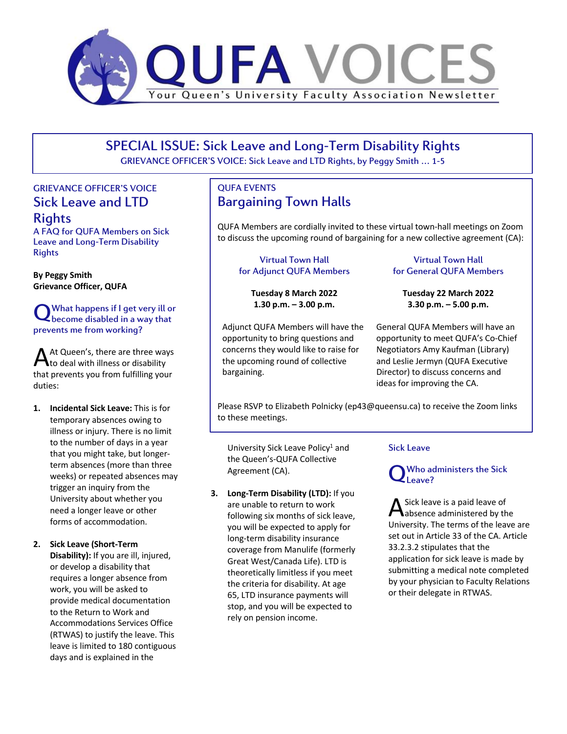

SPECIAL ISSUE: Sick Leave and Long-Term Disability Rights

GRIEVANCE OFFICER'S VOICE: Sick Leave and LTD Rights, by Peggy Smith … 1-5

# GRIEVANCE OFFICER'S VOICE Sick Leave and LTD

Rights

A FAQ for QUFA Members on Sick Leave and Long-Term Disability **Rights** 

**By Peggy Smith Grievance Officer, QUFA**

## What happens if I get very ill or What happens if I get very ill of<br>Decome disabled in a way that prevents me from working?

At Queen's, there are three ways At Queen's, there are three way that prevents you from fulfilling your duties:

**1. Incidental Sick Leave:** This is for temporary absences owing to illness or injury. There is no limit to the number of days in a year that you might take, but longerterm absences (more than three weeks) or repeated absences may trigger an inquiry from the University about whether you need a longer leave or other forms of accommodation.

### **2. Sick Leave (Short-Term**

**Disability):** If you are ill, injured, or develop a disability that requires a longer absence from work, you will be asked to provide medical documentation to the Return to Work and Accommodations Services Office (RTWAS) to justify the leave. This leave is limited to 180 contiguous days and is explained in the

# QUFA EVENTS Bargaining Town Halls

QUFA Members are cordially invited to these virtual town-hall meetings on Zoom to discuss the upcoming round of bargaining for a new collective agreement (CA):

### Virtual Town Hall for Adjunct QUFA Members

**Tuesday 8 March 2022 1.30 p.m. – 3.00 p.m.**

Adjunct QUFA Members will have the opportunity to bring questions and concerns they would like to raise for the upcoming round of collective bargaining.

### Virtual Town Hall for General QUFA Members

**Tuesday 22 March 2022 3.30 p.m. – 5.00 p.m.**

General QUFA Members will have an opportunity to meet QUFA's Co-Chief Negotiators Amy Kaufman (Library) and Leslie Jermyn (QUFA Executive Director) to discuss concerns and ideas for improving the CA.

Please RSVP to Elizabeth Polnicky (ep43@queensu.ca) to receive the Zoom links to these meetings.

University Sick Leave Policy<sup>1</sup> and the Queen's-QUFA Collective Agreement (CA).

**3. Long-Term Disability (LTD):** If you are unable to return to work following six months of sick leave, you will be expected to apply for long-term disability insurance coverage from Manulife (formerly Great West/Canada Life). LTD is theoretically limitless if you meet the criteria for disability. At age 65, LTD insurance payments will stop, and you will be expected to rely on pension income.

### Sick Leave

#### Who administers the Sick Leave? Q

Sick leave is a paid leave of A Sick leave is a paid leave of<br>absence administered by the University. The terms of the leave are set out in Article 33 of the CA. Article 33.2.3.2 stipulates that the application for sick leave is made by submitting a medical note completed by your physician to Faculty Relations or their delegate in RTWAS.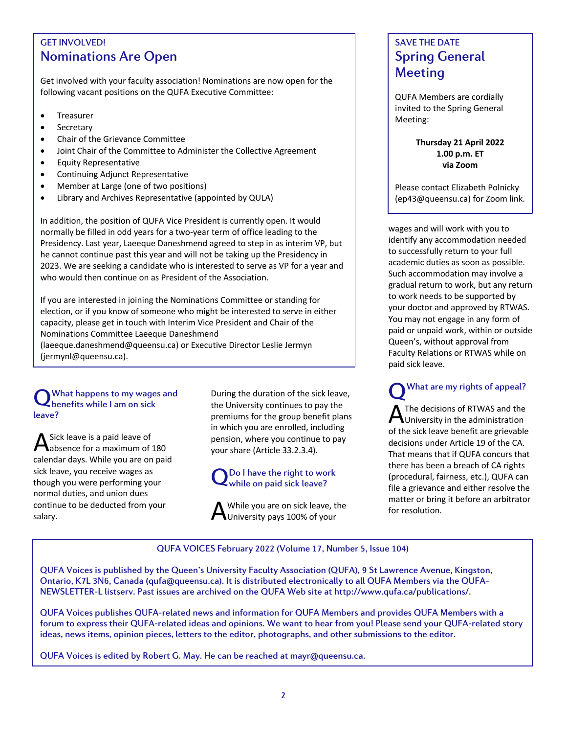# GET INVOLVED! Nominations Are Open

Get involved with your faculty association! Nominations are now open for the following vacant positions on the QUFA Executive Committee:

- Treasurer
- **Secretary**
- Chair of the Grievance Committee
- Joint Chair of the Committee to Administer the Collective Agreement
- Equity Representative
- Continuing Adjunct Representative
- Member at Large (one of two positions)
- Library and Archives Representative (appointed by QULA)

In addition, the position of QUFA Vice President is currently open. It would normally be filled in odd years for a two-year term of office leading to the Presidency. Last year, Laeeque Daneshmend agreed to step in as interim VP, but he cannot continue past this year and will not be taking up the Presidency in 2023. We are seeking a candidate who is interested to serve as VP for a year and who would then continue on as President of the Association.

If you are interested in joining the Nominations Committee or standing for election, or if you know of someone who might be interested to serve in either capacity, please get in touch with Interim Vice President and Chair of the Nominations Committee Laeeque Daneshmend

(laeeque.daneshmend@queensu.ca) or Executive Director Leslie Jermyn (jermynl@queensu.ca).

### What happens to my wages and Q What happens to my wage:<br>Q benefits while I am on sick leave?

Sick leave is a paid leave of absence for a maximum of 180 calendar days. While you are on paid sick leave, you receive wages as though you were performing your normal duties, and union dues continue to be deducted from your salary. A

During the duration of the sick leave, the University continues to pay the premiums for the group benefit plans in which you are enrolled, including pension, where you continue to pay your share (Article 33.2.3.4).

## Do I have the right to work QDo I have the right to wo<br>While on paid sick leave?

While you are on sick leave, the  $\bigwedge$  While you are on sick leave, the University pays 100% of your

# SAVE THE DATE Spring General Meeting

QUFA Members are cordially invited to the Spring General Meeting:

> **Thursday 21 April 2022 1.00 p.m. ET via Zoom**

Please contact Elizabeth Polnicky (ep43@queensu.ca) for Zoom link.

wages and will work with you to identify any accommodation needed to successfully return to your full academic duties as soon as possible. Such accommodation may involve a gradual return to work, but any return to work needs to be supported by your doctor and approved by RTWAS. You may not engage in any form of paid or unpaid work, within or outside Queen's, without approval from Faculty Relations or RTWAS while on paid sick leave.

What are my rights of appeal? Q

The decisions of RTWAS and the A The decisions of RTWAS and the of the sick leave benefit are grievable decisions under Article 19 of the CA. That means that if QUFA concurs that there has been a breach of CA rights (procedural, fairness, etc.), QUFA can file a grievance and either resolve the matter or bring it before an arbitrator for resolution.

QUFA VOICES February 2022 (Volume 17, Number 5, Issue 104)

QUFA Voices is published by the Queen's University Faculty Association (QUFA), 9 St Lawrence Avenue, Kingston, Ontario, K7L 3N6, Canada (qufa@queensu.ca). It is distributed electronically to all QUFA Members via the QUFA-NEWSLETTER-L listserv. Past issues are archived on the QUFA Web site at http://www.qufa.ca/publications/.

QUFA Voices publishes QUFA-related news and information for QUFA Members and provides QUFA Members with a forum to express their QUFA-related ideas and opinions. We want to hear from you! Please send your QUFA-related story ideas, news items, opinion pieces, letters to the editor, photographs, and other submissions to the editor.

QUFA Voices is edited by Robert G. May. He can be reached at mayr@queensu.ca.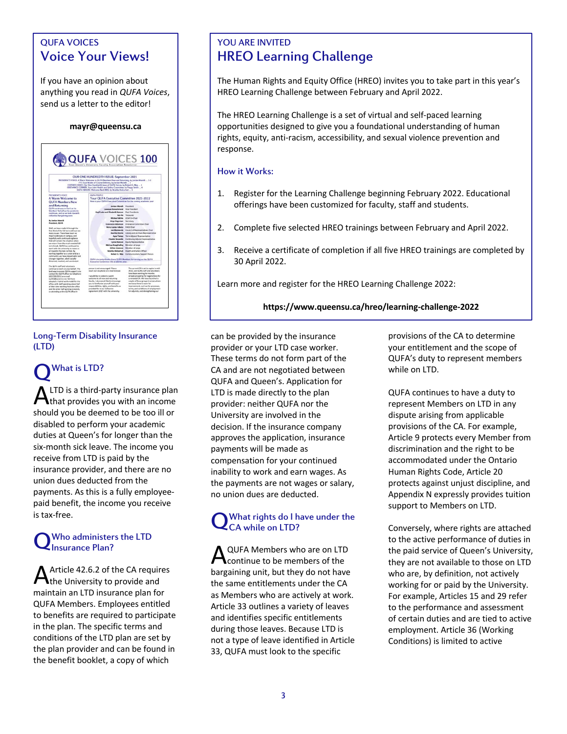# QUFA VOICES Voice Your Views!

If you have an opinion about anything you read in *QUFA Voices*, send us a letter to the editor!

### **mayr@queensu.ca**



### Long-Term Disability Insurance (LTD)

### What is LTD? LTD is a third-party insurance plan  $A$  LTD is a third-party insurance plan<br>that provides you with an income should you be deemed to be too ill or disabled to perform your academic duties at Queen's for longer than the six-month sick leave. The income you receive from LTD is paid by the insurance provider, and there are no union dues deducted from the payments. As this is a fully employeepaid benefit, the income you receive is tax-free. Q

#### Who administers the LTD Insurance Plan? Q

Article 42.6.2 of the CA requires Article 42.6.2 of the CA requir<br>the University to provide and maintain an LTD insurance plan for QUFA Members. Employees entitled to benefits are required to participate in the plan. The specific terms and conditions of the LTD plan are set by the plan provider and can be found in the benefit booklet, a copy of which

# YOU ARE INVITED HREO Learning Challenge

The Human Rights and Equity Office (HREO) invites you to take part in this year's HREO Learning Challenge between February and April 2022.

The HREO Learning Challenge is a set of virtual and self-paced learning opportunities designed to give you a foundational understanding of human rights, equity, anti-racism, accessibility, and sexual violence prevention and response.

### How it Works:

- 1. Register for the Learning Challenge beginning February 2022. Educational offerings have been customized for faculty, staff and students.
- 2. Complete five selected HREO trainings between February and April 2022.
- 3. Receive a certificate of completion if all five HREO trainings are completed by 30 April 2022.

Learn more and register for the HREO Learning Challenge 2022:

### **https://www.queensu.ca/hreo/learning-challenge-2022**

can be provided by the insurance provider or your LTD case worker. These terms do not form part of the CA and are not negotiated between QUFA and Queen's. Application for LTD is made directly to the plan provider: neither QUFA nor the University are involved in the decision. If the insurance company approves the application, insurance payments will be made as compensation for your continued inability to work and earn wages. As the payments are not wages or salary, no union dues are deducted.

#### What rights do I have under the CA while on LTD? Q

QUFA Members who are on LTD continue to be members of the bargaining unit, but they do not have the same entitlements under the CA as Members who are actively at work. Article 33 outlines a variety of leaves and identifies specific entitlements during those leaves. Because LTD is not a type of leave identified in Article 33, QUFA must look to the specific A

provisions of the CA to determine your entitlement and the scope of QUFA's duty to represent members while on LTD.

QUFA continues to have a duty to represent Members on LTD in any dispute arising from applicable provisions of the CA. For example, Article 9 protects every Member from discrimination and the right to be accommodated under the Ontario Human Rights Code, Article 20 protects against unjust discipline, and Appendix N expressly provides tuition support to Members on LTD.

Conversely, where rights are attached to the active performance of duties in the paid service of Queen's University, they are not available to those on LTD who are, by definition, not actively working for or paid by the University. For example, Articles 15 and 29 refer to the performance and assessment of certain duties and are tied to active employment. Article 36 (Working Conditions) is limited to active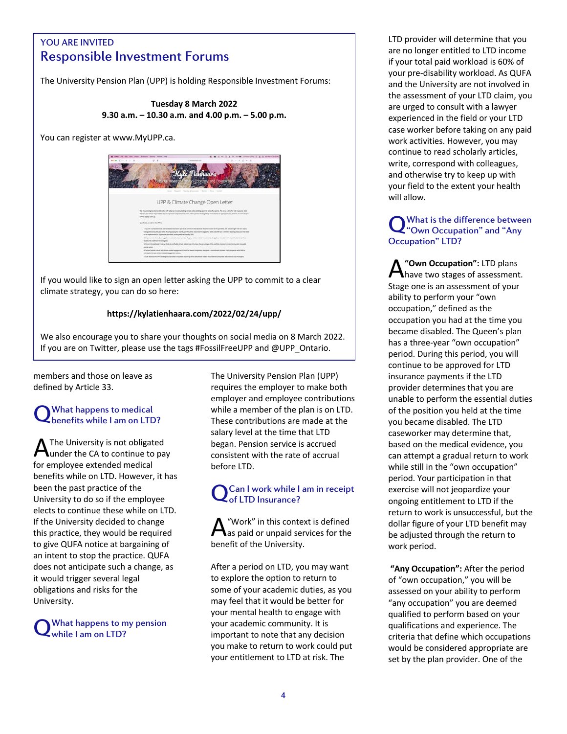# you are invited<br>Responsible Investment Forums YOU ARE INVITED

The University Pension Plan (UPP) is holding Responsible Investment Forums:

### **Tuesday 8 March 2022 9.30 a.m. – 10.30 a.m. and 4.00 p.m. – 5.00 p.m.**

You can register at www.MyUPP.ca.



If you would like to sign an open letter asking the UPP to commit to a clear climate strategy, you can do so here:

### **https://kylatienhaara.com/2022/02/24/upp/**

We also encourage you to share your thoughts on social media on 8 March 2022. If you are on Twitter, please use the tags #FossilFreeUPP and @UPP\_Ontario.

members and those on leave as defined by Article 33.

## What happens to medical Q What happens to medical<br>Q benefits while I am on LTD?

The University is not obligated under the CA to continue to pay for employee extended medical benefits while on LTD. However, it has been the past practice of the University to do so if the employee elects to continue these while on LTD. If the University decided to change this practice, they would be required to give QUFA notice at bargaining of an intent to stop the practice. QUFA does not anticipate such a change, as it would trigger several legal obligations and risks for the University. A

What happens to my pension while I am on LTD? Q

The University Pension Plan (UPP) requires the employer to make both employer and employee contributions while a member of the plan is on LTD. These contributions are made at the salary level at the time that LTD began. Pension service is accrued consistent with the rate of accrual before LTD.

#### Can I work while I am in receipt of LTD Insurance? Q

"Work" in this context is defined as paid or unpaid services for the benefit of the University. A

After a period on LTD, you may want to explore the option to return to some of your academic duties, as you may feel that it would be better for your mental health to engage with your academic community. It is important to note that any decision you make to return to work could put your entitlement to LTD at risk. The

LTD provider will determine that you are no longer entitled to LTD income if your total paid workload is 60% of your pre-disability workload. As QUFA and the University are not involved in the assessment of your LTD claim, you are urged to consult with a lawyer experienced in the field or your LTD case worker before taking on any paid work activities. However, you may continue to read scholarly articles, write, correspond with colleagues, and otherwise try to keep up with your field to the extent your health will allow.

### What is the difference between Q What is the difference betwee<br>
"Own Occupation" and "Any Occupation" LTD?

**"Own Occupation":** LTD plans **A** "Own Occupation": LTD plans<br>have two stages of assessment. Stage one is an assessment of your ability to perform your "own occupation," defined as the occupation you had at the time you became disabled. The Queen's plan has a three-year "own occupation" period. During this period, you will continue to be approved for LTD insurance payments if the LTD provider determines that you are unable to perform the essential duties of the position you held at the time you became disabled. The LTD caseworker may determine that, based on the medical evidence, you can attempt a gradual return to work while still in the "own occupation" period. Your participation in that exercise will not jeopardize your ongoing entitlement to LTD if the return to work is unsuccessful, but the dollar figure of your LTD benefit may be adjusted through the return to work period.

**"Any Occupation":** After the period of "own occupation," you will be assessed on your ability to perform "any occupation" you are deemed qualified to perform based on your qualifications and experience. The criteria that define which occupations would be considered appropriate are set by the plan provider. One of the